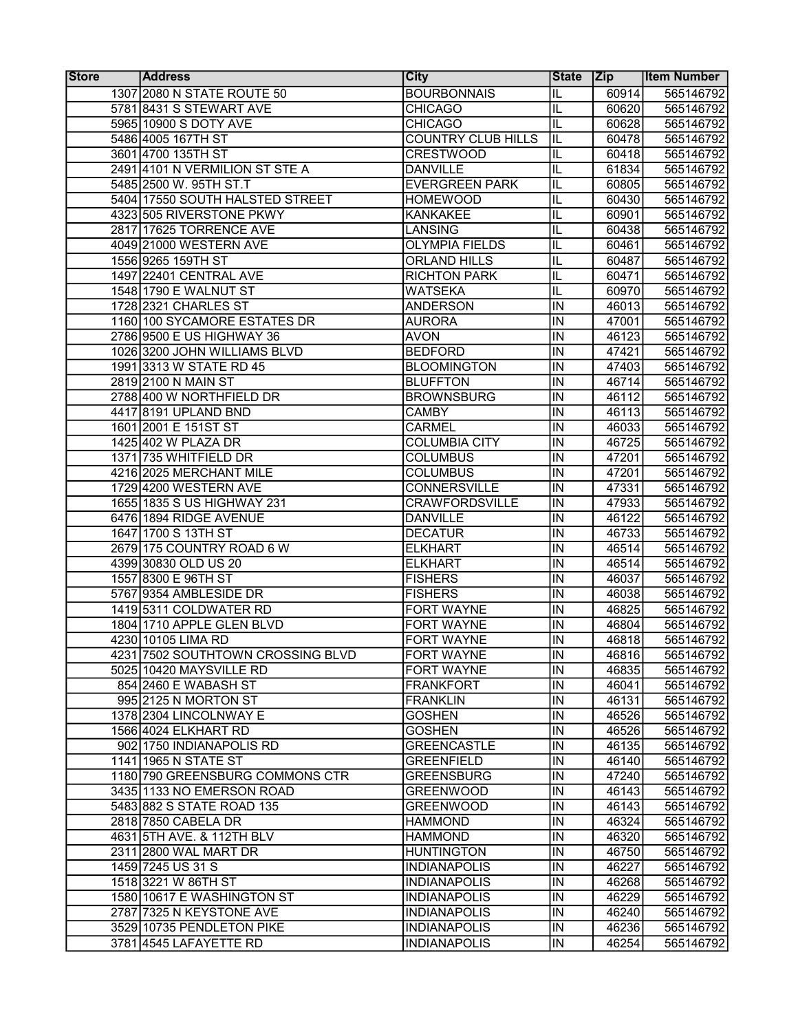| <b>Store</b> | <b>Address</b>                    | <b>City</b>               | State Zip                |       | <b>Item Number</b> |
|--------------|-----------------------------------|---------------------------|--------------------------|-------|--------------------|
|              | 1307 2080 N STATE ROUTE 50        | <b>BOURBONNAIS</b>        | IL                       | 60914 | 565146792          |
|              | 5781 8431 S STEWART AVE           | <b>CHICAGO</b>            | IL                       | 60620 | 565146792          |
|              | 5965 10900 S DOTY AVE             | <b>CHICAGO</b>            | IL                       | 60628 | 565146792          |
|              | 5486 4005 167TH ST                | <b>COUNTRY CLUB HILLS</b> | $\overline{\mathsf{IL}}$ | 60478 | 565146792          |
|              | 3601 4700 135TH ST                | <b>CRESTWOOD</b>          | IL                       | 60418 | 565146792          |
|              | 2491 4101 N VERMILION ST STE A    | <b>DANVILLE</b>           | IL                       | 61834 | 565146792          |
|              | 5485 2500 W. 95TH ST.T            | <b>EVERGREEN PARK</b>     | IL                       | 60805 | 565146792          |
|              | 5404 17550 SOUTH HALSTED STREET   | <b>HOMEWOOD</b>           | IL                       | 60430 | 565146792          |
|              | 4323 505 RIVERSTONE PKWY          | <b>KANKAKEE</b>           | IL                       | 60901 | 565146792          |
|              | 2817 17625 TORRENCE AVE           | <b>LANSING</b>            | IL                       | 60438 | 565146792          |
|              | 4049 21000 WESTERN AVE            | <b>OLYMPIA FIELDS</b>     | IL                       | 60461 | 565146792          |
|              | 1556 9265 159TH ST                | <b>ORLAND HILLS</b>       | IL                       | 60487 | 565146792          |
|              | 1497 22401 CENTRAL AVE            | <b>RICHTON PARK</b>       | IL                       | 60471 | 565146792          |
|              | 1548 1790 E WALNUT ST             | <b>WATSEKA</b>            | IL                       | 60970 | 565146792          |
|              | 1728 2321 CHARLES ST              | <b>ANDERSON</b>           | IN                       | 46013 | 565146792          |
|              | 1160 100 SYCAMORE ESTATES DR      | <b>AURORA</b>             | IN                       | 47001 | 565146792          |
|              | 2786 9500 E US HIGHWAY 36         | <b>AVON</b>               | $\overline{\mathsf{IN}}$ | 46123 | 565146792          |
|              | 1026 3200 JOHN WILLIAMS BLVD      | <b>BEDFORD</b>            | IN                       | 47421 | 565146792          |
|              | 1991 3313 W STATE RD 45           | <b>BLOOMINGTON</b>        | IN                       | 47403 | 565146792          |
|              | 2819 2100 N MAIN ST               | <b>BLUFFTON</b>           | IN                       | 46714 | 565146792          |
|              | 2788 400 W NORTHFIELD DR          | <b>BROWNSBURG</b>         | IN                       | 46112 | 565146792          |
|              | 4417 8191 UPLAND BND              | <b>CAMBY</b>              | IN                       | 46113 | 565146792          |
|              | 1601 2001 E 151ST ST              | <b>CARMEL</b>             | IN                       | 46033 | 565146792          |
|              | 1425 402 W PLAZA DR               | <b>COLUMBIA CITY</b>      | IN                       | 46725 | 565146792          |
|              | 1371 735 WHITFIELD DR             | <b>COLUMBUS</b>           | IN                       | 47201 | 565146792          |
|              | 4216 2025 MERCHANT MILE           | <b>COLUMBUS</b>           | IN                       | 47201 | 565146792          |
|              | 1729 4200 WESTERN AVE             | <b>CONNERSVILLE</b>       | IN                       | 47331 | 565146792          |
|              | 1655 1835 S US HIGHWAY 231        | <b>CRAWFORDSVILLE</b>     | IN                       | 47933 | 565146792          |
|              | 6476 1894 RIDGE AVENUE            | <b>DANVILLE</b>           | IN                       | 46122 | 565146792          |
|              | 1647 1700 S 13TH ST               | <b>DECATUR</b>            | IN                       | 46733 | 565146792          |
|              | 2679 175 COUNTRY ROAD 6 W         | <b>ELKHART</b>            | $\overline{\mathsf{IN}}$ | 46514 | 565146792          |
|              | 4399 30830 OLD US 20              | <b>ELKHART</b>            | $\overline{\mathsf{IN}}$ | 46514 | 565146792          |
|              | 1557 8300 E 96TH ST               | <b>FISHERS</b>            | $\overline{\mathsf{IN}}$ | 46037 | 565146792          |
|              | 5767 9354 AMBLESIDE DR            | <b>FISHERS</b>            | $\overline{I}$           | 46038 | 565146792          |
|              | 1419 5311 COLDWATER RD            | <b>FORT WAYNE</b>         | $\overline{\mathsf{IN}}$ | 46825 | 565146792          |
|              | 1804 1710 APPLE GLEN BLVD         | <b>FORT WAYNE</b>         | IN                       | 46804 | 565146792          |
|              | 4230 10105 LIMA RD                | <b>FORT WAYNE</b>         | IN                       | 46818 | 565146792          |
|              | 4231 7502 SOUTHTOWN CROSSING BLVD | <b>FORT WAYNE</b>         | $\overline{\mathsf{I}}$  | 46816 | 565146792          |
|              | 5025 10420 MAYSVILLE RD           | FORT WAYNE                | IN                       | 46835 | 565146792          |
|              | 854 2460 E WABASH ST              | FRANKFORT                 | IN                       | 46041 | 565146792          |
|              | 995 2125 N MORTON ST              | FRANKLIN                  | IN                       | 46131 | 565146792          |
|              | 1378 2304 LINCOLNWAY E            | <b>GOSHEN</b>             | $\overline{N}$           | 46526 | 565146792          |
|              | 1566 4024 ELKHART RD              | <b>GOSHEN</b>             | IN                       | 46526 | 565146792          |
|              | 902 1750 INDIANAPOLIS RD          | <b>GREENCASTLE</b>        | IN                       | 46135 | 565146792          |
|              | 1141 1965 N STATE ST              | <b>GREENFIELD</b>         | IN                       | 46140 | 565146792          |
|              | 1180 790 GREENSBURG COMMONS CTR   | <b>GREENSBURG</b>         | IN                       | 47240 | 565146792          |
|              | 3435 1133 NO EMERSON ROAD         | <b>GREENWOOD</b>          | IN                       | 46143 | 565146792          |
|              | 5483 882 S STATE ROAD 135         | <b>GREENWOOD</b>          | IN                       | 46143 | 565146792          |
|              | 2818 7850 CABELA DR               | <b>HAMMOND</b>            | IN                       | 46324 | 565146792          |
|              | 4631 5TH AVE. & 112TH BLV         | <b>HAMMOND</b>            | IN                       | 46320 | 565146792          |
|              | 2311 2800 WAL MART DR             | <b>HUNTINGTON</b>         | $\overline{I}$           | 46750 | 565146792          |
|              | 1459 7245 US 31 S                 | <b>INDIANAPOLIS</b>       | $\overline{IN}$          | 46227 | 565146792          |
|              | 1518 3221 W 86TH ST               | <b>INDIANAPOLIS</b>       | IN                       | 46268 | 565146792          |
|              | 1580 10617 E WASHINGTON ST        | <b>INDIANAPOLIS</b>       | IN                       | 46229 | 565146792          |
|              | 2787 7325 N KEYSTONE AVE          | <b>INDIANAPOLIS</b>       | IN                       | 46240 | 565146792          |
|              | 3529 10735 PENDLETON PIKE         | <b>INDIANAPOLIS</b>       | $\overline{M}$           | 46236 | 565146792          |
|              | 3781 4545 LAFAYETTE RD            | <b>INDIANAPOLIS</b>       | IN                       | 46254 | 565146792          |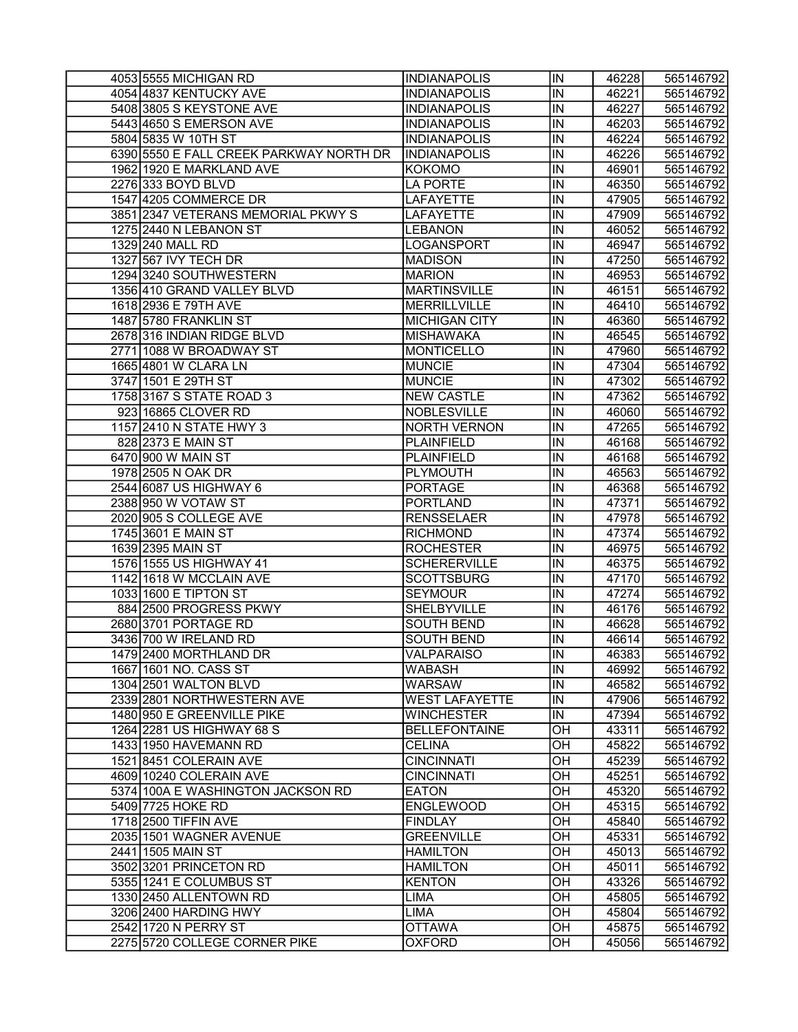| 4053 5555 MICHIGAN RD                   | INDIANAPOLIS          | IN                       | 46228 | 565146792 |
|-----------------------------------------|-----------------------|--------------------------|-------|-----------|
| 4054 4837 KENTUCKY AVE                  | <b>INDIANAPOLIS</b>   | IN                       | 46221 | 565146792 |
| 5408 3805 S KEYSTONE AVE                | <b>INDIANAPOLIS</b>   | $\overline{\mathsf{IN}}$ | 46227 | 565146792 |
| 5443 4650 S EMERSON AVE                 | <b>INDIANAPOLIS</b>   | IN                       | 46203 | 565146792 |
| 5804 5835 W 10TH ST                     | <b>INDIANAPOLIS</b>   | IN                       | 46224 | 565146792 |
| 6390 5550 E FALL CREEK PARKWAY NORTH DR | <b>INDIANAPOLIS</b>   | IN                       | 46226 | 565146792 |
| 1962 1920 E MARKLAND AVE                | KOKOMO                | IN                       | 46901 | 565146792 |
| 2276 333 BOYD BLVD                      | LA PORTE              | IN                       | 46350 | 565146792 |
| 1547 4205 COMMERCE DR                   | LAFAYETTE             | IN                       | 47905 | 565146792 |
| 3851 2347 VETERANS MEMORIAL PKWY S      | <b>LAFAYETTE</b>      | IN                       | 47909 | 565146792 |
| 1275 2440 N LEBANON ST                  | <b>LEBANON</b>        | IN                       | 46052 | 565146792 |
| 1329 240 MALL RD                        | LOGANSPORT            | IN                       | 46947 | 565146792 |
| 1327 567 IVY TECH DR                    | <b>MADISON</b>        | IN                       | 47250 | 565146792 |
| 1294 3240 SOUTHWESTERN                  | <b>MARION</b>         | IN                       | 46953 | 565146792 |
| 1356 410 GRAND VALLEY BLVD              | <b>MARTINSVILLE</b>   | IN                       | 46151 | 565146792 |
| 1618 2936 E 79TH AVE                    | <b>MERRILLVILLE</b>   | IN                       | 46410 | 565146792 |
| 1487 5780 FRANKLIN ST                   | <b>MICHIGAN CITY</b>  | IN                       | 46360 | 565146792 |
| 2678 316 INDIAN RIDGE BLVD              | <b>MISHAWAKA</b>      | IN                       | 46545 | 565146792 |
| 2771 1088 W BROADWAY ST                 | <b>MONTICELLO</b>     | IN                       | 47960 | 565146792 |
| 1665 4801 W CLARA LN                    | <b>MUNCIE</b>         | $\overline{IN}$          | 47304 | 565146792 |
| 3747 1501 E 29TH ST                     | <b>MUNCIE</b>         | IN                       | 47302 | 565146792 |
| 1758 3167 S STATE ROAD 3                | <b>NEW CASTLE</b>     | IN                       | 47362 | 565146792 |
| 923 16865 CLOVER RD                     | NOBLESVILLE           | IN                       | 46060 | 565146792 |
| 1157 2410 N STATE HWY 3                 | <b>NORTH VERNON</b>   | IN                       | 47265 | 565146792 |
| 828 2373 E MAIN ST                      | <b>PLAINFIELD</b>     | IN                       | 46168 | 565146792 |
| 6470 900 W MAIN ST                      | <b>PLAINFIELD</b>     | IN                       | 46168 | 565146792 |
| 1978 2505 N OAK DR                      | <b>PLYMOUTH</b>       | IN                       | 46563 | 565146792 |
| 2544 6087 US HIGHWAY 6                  | <b>PORTAGE</b>        | IN                       | 46368 | 565146792 |
| 2388 950 W VOTAW ST                     | <b>PORTLAND</b>       | IN                       | 47371 | 565146792 |
| 2020 905 S COLLEGE AVE                  | <b>RENSSELAER</b>     | IN                       | 47978 | 565146792 |
| 1745 3601 E MAIN ST                     | <b>RICHMOND</b>       | IN                       | 47374 | 565146792 |
| 1639 2395 MAIN ST                       | <b>ROCHESTER</b>      | IN                       | 46975 | 565146792 |
| 1576 1555 US HIGHWAY 41                 | <b>SCHERERVILLE</b>   | $\overline{\mathsf{IN}}$ | 46375 | 565146792 |
| 1142 1618 W MCCLAIN AVE                 | <b>SCOTTSBURG</b>     | $\overline{\mathsf{IN}}$ | 47170 | 565146792 |
| 1033 1600 E TIPTON ST                   | <b>SEYMOUR</b>        | IN                       | 47274 | 565146792 |
| 884 2500 PROGRESS PKWY                  | SHELBYVILLE           | $\overline{\mathsf{I}}$  | 46176 | 565146792 |
| 2680 3701 PORTAGE RD                    | <b>SOUTH BEND</b>     | IN                       | 46628 | 565146792 |
| 3436 700 W IRELAND RD                   | <b>SOUTH BEND</b>     | IN                       | 46614 | 565146792 |
| 1479 2400 MORTHLAND DR                  | <b>VALPARAISO</b>     | IN                       | 46383 | 565146792 |
| 1667 1601 NO. CASS ST                   | <b>WABASH</b>         | IN                       | 46992 | 565146792 |
| 1304 2501 WALTON BLVD                   | <b>WARSAW</b>         | IN                       | 46582 | 565146792 |
| 2339 2801 NORTHWESTERN AVE              | <b>WEST LAFAYETTE</b> | IN                       | 47906 | 565146792 |
| 1480 950 E GREENVILLE PIKE              | <b>WINCHESTER</b>     | IN                       | 47394 | 565146792 |
| 1264 2281 US HIGHWAY 68 S               | <b>BELLEFONTAINE</b>  | OH                       | 43311 | 565146792 |
| 1433 1950 HAVEMANN RD                   | <b>CELINA</b>         | OН                       | 45822 | 565146792 |
| 1521 8451 COLERAIN AVE                  | <b>CINCINNATI</b>     | OH                       | 45239 | 565146792 |
| 4609 10240 COLERAIN AVE                 | <b>CINCINNATI</b>     | OH                       | 45251 | 565146792 |
| 5374 100A E WASHINGTON JACKSON RD       | <b>EATON</b>          | OH                       | 45320 | 565146792 |
| 5409 7725 HOKE RD                       | <b>ENGLEWOOD</b>      | OH                       | 45315 | 565146792 |
| 1718 2500 TIFFIN AVE                    | <b>FINDLAY</b>        | OH                       | 45840 | 565146792 |
| 2035 1501 WAGNER AVENUE                 | <b>GREENVILLE</b>     | OH                       | 45331 | 565146792 |
| 2441 1505 MAIN ST                       | <b>HAMILTON</b>       | OH                       | 45013 | 565146792 |
| 3502 3201 PRINCETON RD                  | <b>HAMILTON</b>       | OH                       | 45011 | 565146792 |
| 5355 1241 E COLUMBUS ST                 | <b>KENTON</b>         | OH                       | 43326 | 565146792 |
| 1330 2450 ALLENTOWN RD                  | LIMA                  | OH                       | 45805 | 565146792 |
| 3206 2400 HARDING HWY                   | LIMA                  | OH                       | 45804 | 565146792 |
| 2542 1720 N PERRY ST                    | <b>OTTAWA</b>         | OH                       | 45875 | 565146792 |
| 2275 5720 COLLEGE CORNER PIKE           | <b>OXFORD</b>         | OН                       | 45056 | 565146792 |